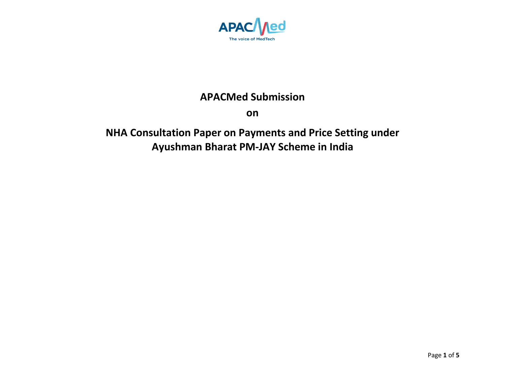

## **APACMed Submission**

**on**

## **NHA Consultation Paper on Payments and Price Setting under Ayushman Bharat PM-JAY Scheme in India**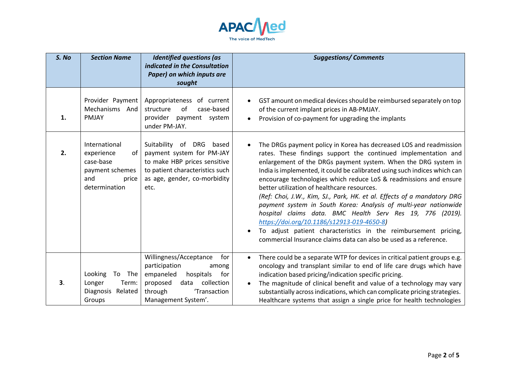

| S. No | <b>Section Name</b>                                                                                | <b>Identified questions (as</b><br>indicated in the Consultation<br>Paper) on which inputs are<br>sought                                                                     | <b>Suggestions/Comments</b>                                                                                                                                                                                                                                                                                                                                                                                                                                                                                                                                                                                                                                                                                                                                                                               |
|-------|----------------------------------------------------------------------------------------------------|------------------------------------------------------------------------------------------------------------------------------------------------------------------------------|-----------------------------------------------------------------------------------------------------------------------------------------------------------------------------------------------------------------------------------------------------------------------------------------------------------------------------------------------------------------------------------------------------------------------------------------------------------------------------------------------------------------------------------------------------------------------------------------------------------------------------------------------------------------------------------------------------------------------------------------------------------------------------------------------------------|
| 1.    | Provider Payment<br>Mechanisms And<br><b>PMJAY</b>                                                 | Appropriateness of current<br>of<br>case-based<br>structure<br>provider<br>payment system<br>under PM-JAY.                                                                   | GST amount on medical devices should be reimbursed separately on top<br>of the current implant prices in AB-PMJAY.<br>Provision of co-payment for upgrading the implants                                                                                                                                                                                                                                                                                                                                                                                                                                                                                                                                                                                                                                  |
| 2.    | International<br>of<br>experience<br>case-base<br>payment schemes<br>and<br>price<br>determination | Suitability of DRG based<br>payment system for PM-JAY<br>to make HBP prices sensitive<br>to patient characteristics such<br>as age, gender, co-morbidity<br>etc.             | The DRGs payment policy in Korea has decreased LOS and readmission<br>rates. These findings support the continued implementation and<br>enlargement of the DRGs payment system. When the DRG system in<br>India is implemented, it could be calibrated using such indices which can<br>encourage technologies which reduce LoS & readmissions and ensure<br>better utilization of healthcare resources.<br>(Ref: Choi, J.W., Kim, SJ., Park, HK. et al. Effects of a mandatory DRG<br>payment system in South Korea: Analysis of multi-year nationwide<br>hospital claims data. BMC Health Serv Res 19, 776 (2019).<br>https://doi.org/10.1186/s12913-019-4650-8)<br>To adjust patient characteristics in the reimbursement pricing,<br>commercial Insurance claims data can also be used as a reference. |
| 3.    | Looking<br>The<br>To<br>Longer<br>Term:<br>Diagnosis Related<br>Groups                             | Willingness/Acceptance<br>for<br>participation<br>among<br>empaneled<br>hospitals<br>for<br>collection<br>proposed<br>data<br>'Transaction<br>through<br>Management System'. | There could be a separate WTP for devices in critical patient groups e.g.<br>$\bullet$<br>oncology and transplant similar to end of life care drugs which have<br>indication based pricing/indication specific pricing.<br>The magnitude of clinical benefit and value of a technology may vary<br>substantially across indications, which can complicate pricing strategies.<br>Healthcare systems that assign a single price for health technologies                                                                                                                                                                                                                                                                                                                                                    |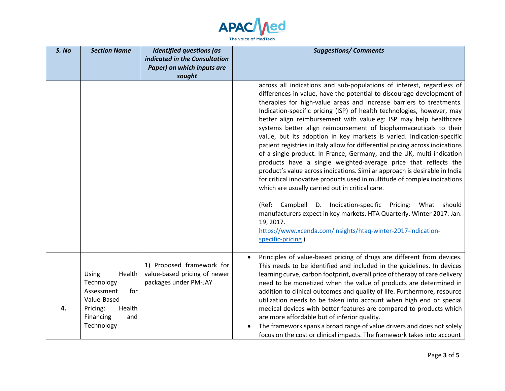

| S. No | <b>Section Name</b>                                                                                                       | <b>Identified questions (as</b><br>indicated in the Consultation                   | <b>Suggestions/Comments</b>                                                                                                                                                                                                                                                                                                                                                                                                                                                                                                                                                                                                                                                                                                                                                                                                                                                                                                                                                                                                                                                                                                                                                                               |
|-------|---------------------------------------------------------------------------------------------------------------------------|------------------------------------------------------------------------------------|-----------------------------------------------------------------------------------------------------------------------------------------------------------------------------------------------------------------------------------------------------------------------------------------------------------------------------------------------------------------------------------------------------------------------------------------------------------------------------------------------------------------------------------------------------------------------------------------------------------------------------------------------------------------------------------------------------------------------------------------------------------------------------------------------------------------------------------------------------------------------------------------------------------------------------------------------------------------------------------------------------------------------------------------------------------------------------------------------------------------------------------------------------------------------------------------------------------|
|       |                                                                                                                           | Paper) on which inputs are<br>sought                                               |                                                                                                                                                                                                                                                                                                                                                                                                                                                                                                                                                                                                                                                                                                                                                                                                                                                                                                                                                                                                                                                                                                                                                                                                           |
|       |                                                                                                                           |                                                                                    | across all indications and sub-populations of interest, regardless of<br>differences in value, have the potential to discourage development of<br>therapies for high-value areas and increase barriers to treatments.<br>Indication-specific pricing (ISP) of health technologies, however, may<br>better align reimbursement with value.eg: ISP may help healthcare<br>systems better align reimbursement of biopharmaceuticals to their<br>value, but its adoption in key markets is varied. Indication-specific<br>patient registries in Italy allow for differential pricing across indications<br>of a single product. In France, Germany, and the UK, multi-indication<br>products have a single weighted-average price that reflects the<br>product's value across indications. Similar approach is desirable in India<br>for critical innovative products used in multitude of complex indications<br>which are usually carried out in critical care.<br>(Ref: Campbell D. Indication-specific<br>Pricing: What should<br>manufacturers expect in key markets. HTA Quarterly. Winter 2017. Jan.<br>19, 2017.<br>https://www.xcenda.com/insights/htaq-winter-2017-indication-<br>specific-pricing) |
| 4.    | Health<br>Using<br>Technology<br>Assessment<br>for<br>Value-Based<br>Pricing:<br>Health<br>Financing<br>and<br>Technology | 1) Proposed framework for<br>value-based pricing of newer<br>packages under PM-JAY | Principles of value-based pricing of drugs are different from devices.<br>$\bullet$<br>This needs to be identified and included in the guidelines. In devices<br>learning curve, carbon footprint, overall price of therapy of care delivery<br>need to be monetized when the value of products are determined in<br>addition to clinical outcomes and quality of life. Furthermore, resource<br>utilization needs to be taken into account when high end or special<br>medical devices with better features are compared to products which<br>are more affordable but of inferior quality.<br>The framework spans a broad range of value drivers and does not solely<br>focus on the cost or clinical impacts. The framework takes into account                                                                                                                                                                                                                                                                                                                                                                                                                                                          |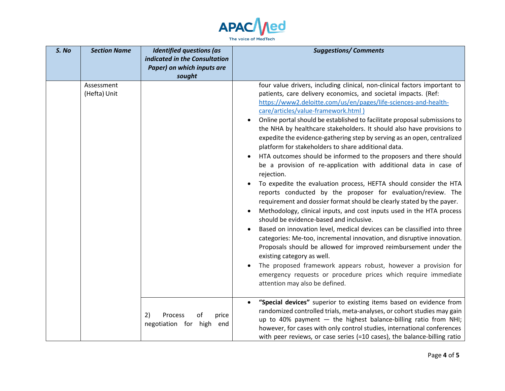

| S. No | <b>Section Name</b>        | <b>Identified questions (as</b><br>indicated in the Consultation<br>Paper) on which inputs are<br>sought | <b>Suggestions/Comments</b>                                                                                                                                                                                                                                                                                                                                                                                                                                                                                                                                                                                                                                                                                                                                                                                                                                                                                                                                                                                                                                                                                                                                                                                                                                                                                                                                                                                                                                         |
|-------|----------------------------|----------------------------------------------------------------------------------------------------------|---------------------------------------------------------------------------------------------------------------------------------------------------------------------------------------------------------------------------------------------------------------------------------------------------------------------------------------------------------------------------------------------------------------------------------------------------------------------------------------------------------------------------------------------------------------------------------------------------------------------------------------------------------------------------------------------------------------------------------------------------------------------------------------------------------------------------------------------------------------------------------------------------------------------------------------------------------------------------------------------------------------------------------------------------------------------------------------------------------------------------------------------------------------------------------------------------------------------------------------------------------------------------------------------------------------------------------------------------------------------------------------------------------------------------------------------------------------------|
|       | Assessment<br>(Hefta) Unit |                                                                                                          | four value drivers, including clinical, non-clinical factors important to<br>patients, care delivery economics, and societal impacts. (Ref:<br>https://www2.deloitte.com/us/en/pages/life-sciences-and-health-<br>care/articles/value-framework.html)<br>Online portal should be established to facilitate proposal submissions to<br>the NHA by healthcare stakeholders. It should also have provisions to<br>expedite the evidence-gathering step by serving as an open, centralized<br>platform for stakeholders to share additional data.<br>HTA outcomes should be informed to the proposers and there should<br>be a provision of re-application with additional data in case of<br>rejection.<br>To expedite the evaluation process, HEFTA should consider the HTA<br>reports conducted by the proposer for evaluation/review. The<br>requirement and dossier format should be clearly stated by the payer.<br>Methodology, clinical inputs, and cost inputs used in the HTA process<br>should be evidence-based and inclusive.<br>Based on innovation level, medical devices can be classified into three<br>categories: Me-too, incremental innovation, and disruptive innovation.<br>Proposals should be allowed for improved reimbursement under the<br>existing category as well.<br>The proposed framework appears robust, however a provision for<br>emergency requests or procedure prices which require immediate<br>attention may also be defined. |
|       |                            | 2)<br>price<br><b>Process</b><br>of<br>negotiation for high<br>end                                       | "Special devices" superior to existing items based on evidence from<br>randomized controlled trials, meta-analyses, or cohort studies may gain<br>up to 40% payment - the highest balance-billing ratio from NHI;<br>however, for cases with only control studies, international conferences<br>with peer reviews, or case series (=10 cases), the balance-billing ratio                                                                                                                                                                                                                                                                                                                                                                                                                                                                                                                                                                                                                                                                                                                                                                                                                                                                                                                                                                                                                                                                                            |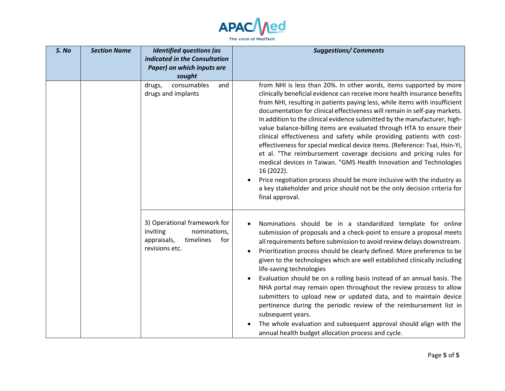

| S. No | <b>Section Name</b> | <b>Identified questions (as</b><br>indicated in the Consultation<br>Paper) on which inputs are<br>sought      | <b>Suggestions/Comments</b>                                                                                                                                                                                                                                                                                                                                                                                                                                                                                                                                                                                                                                                                                                                                                                                                                                                                                                                                 |
|-------|---------------------|---------------------------------------------------------------------------------------------------------------|-------------------------------------------------------------------------------------------------------------------------------------------------------------------------------------------------------------------------------------------------------------------------------------------------------------------------------------------------------------------------------------------------------------------------------------------------------------------------------------------------------------------------------------------------------------------------------------------------------------------------------------------------------------------------------------------------------------------------------------------------------------------------------------------------------------------------------------------------------------------------------------------------------------------------------------------------------------|
|       |                     | consumables<br>and<br>drugs,<br>drugs and implants                                                            | from NHI is less than 20%. In other words, items supported by more<br>clinically beneficial evidence can receive more health insurance benefits<br>from NHI, resulting in patients paying less, while items with insufficient<br>documentation for clinical effectiveness will remain in self-pay markets.<br>In addition to the clinical evidence submitted by the manufacturer, high-<br>value balance-billing items are evaluated through HTA to ensure their<br>clinical effectiveness and safety while providing patients with cost-<br>effectiveness for special medical device items. (Reference: Tsai, Hsin-Yi,<br>et al. "The reimbursement coverage decisions and pricing rules for<br>medical devices in Taiwan. "GMS Health Innovation and Technologies<br>16 (2022).<br>Price negotiation process should be more inclusive with the industry as<br>a key stakeholder and price should not be the only decision criteria for<br>final approval. |
|       |                     | 3) Operational framework for<br>inviting<br>nominations,<br>timelines<br>appraisals,<br>for<br>revisions etc. | Nominations should be in a standardized template for online<br>submission of proposals and a check-point to ensure a proposal meets<br>all requirements before submission to avoid review delays downstream.<br>Prioritization process should be clearly defined. More preference to be<br>given to the technologies which are well established clinically including<br>life-saving technologies<br>Evaluation should be on a rolling basis instead of an annual basis. The<br>NHA portal may remain open throughout the review process to allow<br>submitters to upload new or updated data, and to maintain device<br>pertinence during the periodic review of the reimbursement list in<br>subsequent years.<br>The whole evaluation and subsequent approval should align with the<br>annual health budget allocation process and cycle.                                                                                                                 |